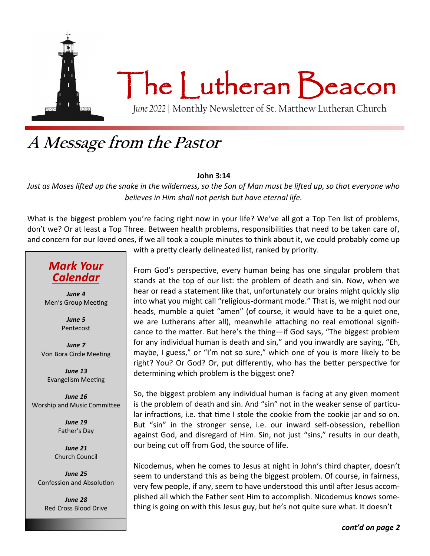

### **A Message from the Pastor**

#### **John 3:14**

*Just as Moses lifted up the snake in the wilderness, so the Son of Man must be lifted up, so that everyone who believes in Him shall not perish but have eternal life.*

What is the biggest problem you're facing right now in your life? We've all got a Top Ten list of problems, don't we? Or at least a Top Three. Between health problems, responsibilities that need to be taken care of, and concern for our loved ones, if we all took a couple minutes to think about it, we could probably come up

#### *Mark Your Calendar*

*June 4* Men's Group Meeting

> *June 5* Pentecost

*June 7* Von Bora Circle Meeting

*June 13* Evangelism Meeting

*June 16* Worship and Music Committee

> *June 19* Father's Day

*June 21* Church Council

*June 25* Confession and Absolution

*June 28* Red Cross Blood Drive with a pretty clearly delineated list, ranked by priority.

From God's perspective, every human being has one singular problem that stands at the top of our list: the problem of death and sin. Now, when we hear or read a statement like that, unfortunately our brains might quickly slip into what you might call "religious-dormant mode." That is, we might nod our heads, mumble a quiet "amen" (of course, it would have to be a quiet one, we are Lutherans after all), meanwhile attaching no real emotional significance to the matter. But here's the thing—if God says, "The biggest problem for any individual human is death and sin," and you inwardly are saying, "Eh, maybe, I guess," or "I'm not so sure," which one of you is more likely to be right? You? Or God? Or, put differently, who has the better perspective for determining which problem is the biggest one?

So, the biggest problem any individual human is facing at any given moment is the problem of death and sin. And "sin" not in the weaker sense of particular infractions, i.e. that time I stole the cookie from the cookie jar and so on. But "sin" in the stronger sense, i.e. our inward self-obsession, rebellion against God, and disregard of Him. Sin, not just "sins," results in our death, our being cut off from God, the source of life.

Nicodemus, when he comes to Jesus at night in John's third chapter, doesn't seem to understand this as being the biggest problem. Of course, in fairness, very few people, if any, seem to have understood this until after Jesus accomplished all which the Father sent Him to accomplish. Nicodemus knows something is going on with this Jesus guy, but he's not quite sure what. It doesn't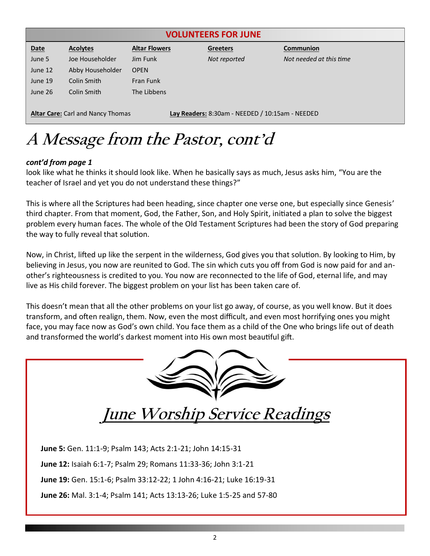|             |                                          |                      | <b>VOLUNTEERS FOR JUNE</b>                      |                         |
|-------------|------------------------------------------|----------------------|-------------------------------------------------|-------------------------|
| <b>Date</b> | <b>Acolytes</b>                          | <b>Altar Flowers</b> | <b>Greeters</b>                                 | Communion               |
| June 5      | Joe Householder                          | Jim Funk             | Not reported                                    | Not needed at this time |
| June 12     | Abby Householder                         | <b>OPEN</b>          |                                                 |                         |
| June 19     | Colin Smith                              | Fran Funk            |                                                 |                         |
| June 26     | Colin Smith                              | The Libbens          |                                                 |                         |
|             | <b>Altar Care:</b> Carl and Nancy Thomas |                      | Lay Readers: 8:30am - NEEDED / 10:15am - NEEDED |                         |

# **A Message from the Pastor, cont'd**

#### *cont'd from page 1*

look like what he thinks it should look like. When he basically says as much, Jesus asks him, "You are the teacher of Israel and yet you do not understand these things?"

This is where all the Scriptures had been heading, since chapter one verse one, but especially since Genesis' third chapter. From that moment, God, the Father, Son, and Holy Spirit, initiated a plan to solve the biggest problem every human faces. The whole of the Old Testament Scriptures had been the story of God preparing the way to fully reveal that solution.

Now, in Christ, lifted up like the serpent in the wilderness, God gives you that solution. By looking to Him, by believing in Jesus, you now are reunited to God. The sin which cuts you off from God is now paid for and another's righteousness is credited to you. You now are reconnected to the life of God, eternal life, and may live as His child forever. The biggest problem on your list has been taken care of.

This doesn't mean that all the other problems on your list go away, of course, as you well know. But it does transform, and often realign, them. Now, even the most difficult, and even most horrifying ones you might face, you may face now as God's own child. You face them as a child of the One who brings life out of death and transformed the world's darkest moment into His own most beautiful gift.

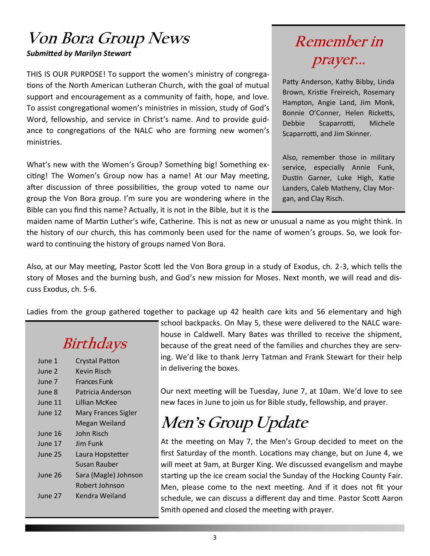#### **Von Bora Group News** *Submitted by Marilyn Stewart*

THIS IS OUR PURPOSE! To support the women's ministry of congregations of the North American Lutheran Church, with the goal of mutual support and encouragement as a community of faith, hope, and love. To assist congregational women's ministries in mission, study of God's Word, fellowship, and service in Christ's name. And to provide guidance to congregations of the NALC who are forming new women's ministries.

What's new with the Women's Group? Something big! Something exciting! The Women's Group now has a name! At our May meeting, after discussion of three possibilities, the group voted to name our group the Von Bora group. I'm sure you are wondering where in the Bible can you find this name? Actually, it is not in the Bible, but it is the

### **Remember in prayer...**

Patty Anderson, Kathy Bibby, Linda Brown, Kristie Freireich, Rosemary Hampton, Angie Land, Jim Monk, Bonnie O'Conner, Helen Ricketts, Debbie Scaparrotti, Michele Scaparrotti, and Jim Skinner.

Also, remember those in military service, especially Annie Funk, Dustin Garner, Luke High, Katie Landers, Caleb Matheny, Clay Morgan, and Clay Risch.

maiden name of Martin Luther's wife, Catherine. This is not as new or unusual a name as you might think. In the history of our church, this has commonly been used for the name of women's groups. So, we look forward to continuing the history of groups named Von Bora.

Also, at our May meeting, Pastor Scott led the Von Bora group in a study of Exodus, ch. 2-3, which tells the story of Moses and the burning bush, and God's new mission for Moses. Next month, we will read and discuss Exodus, ch. 5-6.

Ladies from the group gathered together to package up 42 health care kits and 56 elementary and high

## **Birthdays**

| June 1  | <b>Crystal Patton</b> |
|---------|-----------------------|
| June 2  | Kevin Risch           |
| June 7  | Frances Funk          |
| June 8  | Patricia Anderson     |
| June 11 | Lillian McKee         |
| June 12 | Mary Frances Sigler   |
|         | Megan Weiland         |
| June 16 | John Risch            |
| June 17 | lim Funk              |
| June 25 | Laura Hopstetter      |
|         | Susan Rauber          |
| June 26 | Sara (Magle) Johnson  |
|         | Robert Johnson        |
| June 27 | Kendra Weiland        |
|         |                       |

school backpacks. On May 5, these were delivered to the NALC warehouse in Caldwell. Mary Bates was thrilled to receive the shipment, because of the great need of the families and churches they are serving. We'd like to thank Jerry Tatman and Frank Stewart for their help in delivering the boxes.

Our next meeting will be Tuesday, June 7, at 10am. We'd love to see new faces in June to join us for Bible study, fellowship, and prayer.

## **Men's Group Update**

At the meeting on May 7, the Men's Group decided to meet on the first Saturday of the month. Locations may change, but on June 4, we will meet at 9am, at Burger King. We discussed evangelism and maybe starting up the ice cream social the Sunday of the Hocking County Fair. Men, please come to the next meeting. And if it does not fit your schedule, we can discuss a different day and time. Pastor Scott Aaron Smith opened and closed the meeting with prayer.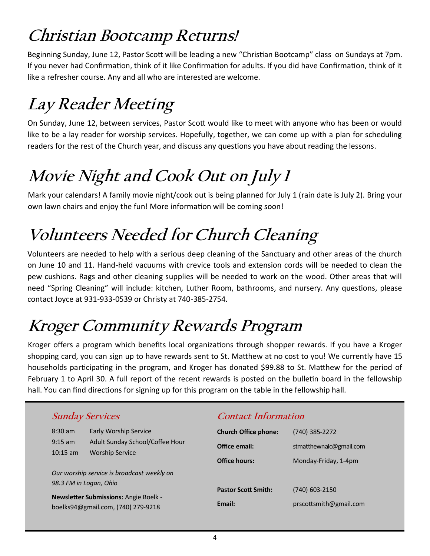# **Christian Bootcamp Returns!**

Beginning Sunday, June 12, Pastor Scott will be leading a new "Christian Bootcamp" class on Sundays at 7pm. If you never had Confirmation, think of it like Confirmation for adults. If you did have Confirmation, think of it like a refresher course. Any and all who are interested are welcome.

# **Lay Reader Meeting**

On Sunday, June 12, between services, Pastor Scott would like to meet with anyone who has been or would like to be a lay reader for worship services. Hopefully, together, we can come up with a plan for scheduling readers for the rest of the Church year, and discuss any questions you have about reading the lessons.

# **Movie Night and Cook Out on July 1**

Mark your calendars! A family movie night/cook out is being planned for July 1 (rain date is July 2). Bring your own lawn chairs and enjoy the fun! More information will be coming soon!

# **Volunteers Needed for Church Cleaning**

Volunteers are needed to help with a serious deep cleaning of the Sanctuary and other areas of the church on June 10 and 11. Hand-held vacuums with crevice tools and extension cords will be needed to clean the pew cushions. Rags and other cleaning supplies will be needed to work on the wood. Other areas that will need "Spring Cleaning" will include: kitchen, Luther Room, bathrooms, and nursery. Any questions, please contact Joyce at 931-933-0539 or Christy at 740-385-2754.

# **Kroger Community Rewards Program**

Kroger offers a program which benefits local organizations through shopper rewards. If you have a Kroger shopping card, you can sign up to have rewards sent to St. Matthew at no cost to you! We currently have 15 households participating in the program, and Kroger has donated \$99.88 to St. Matthew for the period of February 1 to April 30. A full report of the recent rewards is posted on the bulletin board in the fellowship hall. You can find directions for signing up for this program on the table in the fellowship hall.

|                                 | <b>Sunday Services</b>                                               | <b>Contact Information</b>  |                         |
|---------------------------------|----------------------------------------------------------------------|-----------------------------|-------------------------|
| $8:30 \text{ am}$               | <b>Early Worship Service</b>                                         | <b>Church Office phone:</b> | (740) 385-2272          |
| $9:15 \text{ am}$<br>$10:15$ am | Adult Sunday School/Coffee Hour<br><b>Worship Service</b>            | Office email:               | stmatthewnalc@gmail.com |
|                                 |                                                                      | Office hours:               | Monday-Friday, 1-4pm    |
|                                 | Our worship service is broadcast weekly on<br>98.3 FM in Logan, Ohio |                             |                         |
|                                 | <b>Newsletter Submissions: Angie Boelk -</b>                         | <b>Pastor Scott Smith:</b>  | (740) 603-2150          |
|                                 | boelks94@gmail.com, (740) 279-9218                                   | Email:                      | prscottsmith@gmail.com  |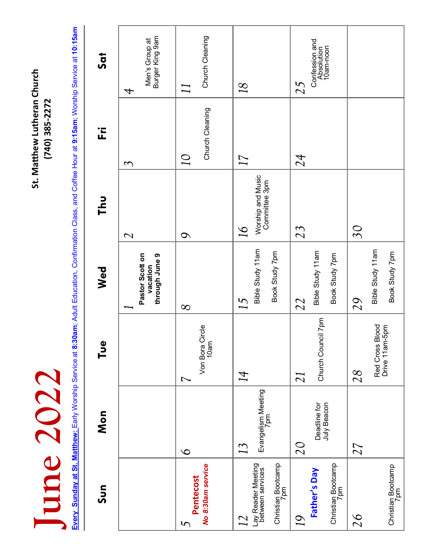**June 2020 St. Matthew Lutheran Church**<br>(740) 385-2272<br>Every Sunday at St. Matthew: Early Worship Service at 8:30am; Adult Education, Confirmation Class, and Coffee Hour at 9:15am; Worship Servic June 2022

St. Matthew Lutheran Church (740) 385-2272 Every Sunday at St. Matthew: Early Worship Service at 8:30am; Adult Education, Confirmation Class, and Coffee Hour at 9:15am; Worship Service at 10:15am **Every Sunday at St. Matthew:** Early Worship Service at **8:30am**; Adult Education, Confirmation Class, and Coffee Hour at **9:15am**; Worship Service at **10:15am**

| Sun                                                                           | Mon                               | Pue<br>P                                               | Wed                                           | <b>Thu</b>                                                     | ΪĹ.                         | Sat                                             |
|-------------------------------------------------------------------------------|-----------------------------------|--------------------------------------------------------|-----------------------------------------------|----------------------------------------------------------------|-----------------------------|-------------------------------------------------|
|                                                                               |                                   |                                                        | Pastor Scott on<br>through June 9<br>vacation | $\overline{\mathcal{C}}$                                       | $\mathcal{C}$               | Burger King 9am<br>Men's Group at<br>4          |
| No 8:30am service<br>Pentecost<br>$\mathcal{L}$                               | $\overline{6}$                    | Circle<br>10am<br>Von Bora<br>$\overline{\phantom{0}}$ | $\infty$                                      | $\mathcal{Q}$                                                  | Church Cleaning<br>$\Omega$ | Church Cleaning<br>$\prod$                      |
| Christian Bootcamp<br>7pm<br>Lay Reader Meeting<br>between services<br>$12\,$ | Evangelism Meeting<br>7pm<br>13   | 14                                                     | Bible Study 11am<br>Book Study 7pm<br>15      | Worship and Music<br>Committee 3pm<br>$\overline{\mathcal{Q}}$ | 17                          | 18                                              |
| Christian Bootcamp<br>7pm<br>Father's Day<br>19                               | Deadline for<br>July Beacon<br>20 | Church Council 7pm<br>21                               | Bible Study 11am<br>Book Study 7pm<br>22      | 23                                                             | 24                          | Confession and<br>Absolution<br>10am-noon<br>25 |
| Christian Bootcamp<br>7pm<br>26                                               | 27                                | Blood<br>Red Cross Blood<br>Drive 11am-5pm<br>28       | Bible Study 11am<br>Book Study 7pm<br>29      | $30\,$                                                         |                             |                                                 |